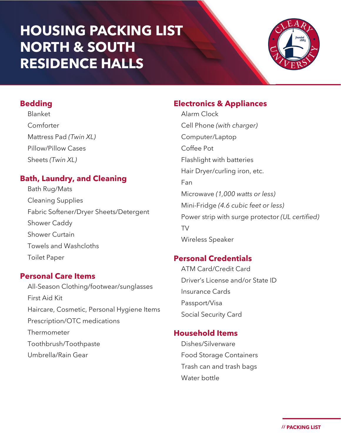## **HOUSING PACKING LIST NORTH & SOUTH RESIDENCE HALLS**



#### **Bedding**

Blanket Comforter Mattress Pad *(Twin XL)* Pillow/Pillow Cases Sheets *(Twin XL)*

### **Bath, Laundry, and Cleaning**

Bath Rug/Mats Cleaning Supplies Fabric Softener/Dryer Sheets/Detergent Shower Caddy Shower Curtain Towels and Washcloths Toilet Paper

#### **Personal Care Items**

All-Season Clothing/footwear/sunglasses First Aid Kit Haircare, Cosmetic, Personal Hygiene Items Prescription/OTC medications Thermometer Toothbrush/Toothpaste Umbrella/Rain Gear

#### **Electronics & Appliances**

Alarm Clock Cell Phone *(with charger)* Computer/Laptop Coffee Pot Flashlight with batteries Hair Dryer/curling iron, etc. Fan Microwave *(1,000 watts or less)* Mini-Fridge *(4.6 cubic feet or less)* Power strip with surge protector *(UL certified)* TV Wireless Speaker

#### **Personal Credentials**

ATM Card/Credit Card Driver's License and/or State ID Insurance Cards Passport/Visa Social Security Card

#### **Household Items**

Dishes/Silverware Food Storage Containers Trash can and trash bags Water bottle